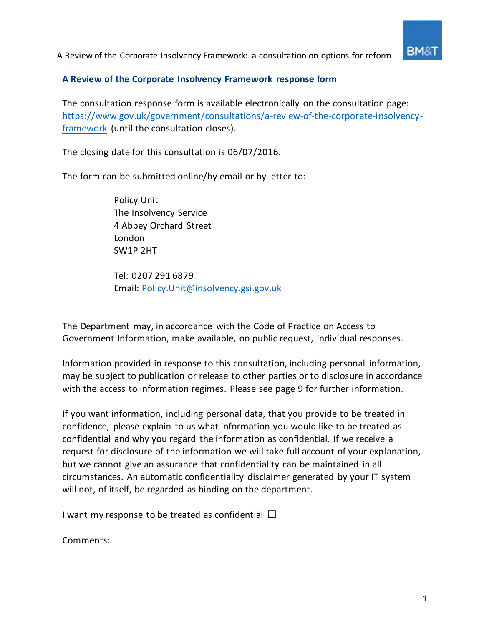

#### **A Review of the Corporate Insolvency Framework response form**

The consultation response form is available electronically on the consultation page: [https://www.gov.uk/government/consultations/a-review-of-the-corporate-insolvency](https://www.gov.uk/government/consultations/a-review-of-the-corporate-insolvency-framework)[framework](https://www.gov.uk/government/consultations/a-review-of-the-corporate-insolvency-framework) (until the consultation closes).

The closing date for this consultation is 06/07/2016.

The form can be submitted online/by email or by letter to:

Policy Unit The Insolvency Service 4 Abbey Orchard Street London SW1P 2HT

Tel: 0207 291 6879 Email: [Policy.Unit@insolvency.gsi.gov.uk](mailto:Policy.Unit@insolvency.gsi.gov.uk)

The Department may, in accordance with the Code of Practice on Access to Government Information, make available, on public request, individual responses.

Information provided in response to this consultation, including personal information, may be subject to publication or release to other parties or to disclosure in accordance with the access to information regimes. Please see page 9 for further information.

If you want information, including personal data, that you provide to be treated in confidence, please explain to us what information you would like to be treated as confidential and why you regard the information as confidential. If we receive a request for disclosure of the information we will take full account of your explanation, but we cannot give an assurance that confidentiality can be maintained in all circumstances. An automatic confidentiality disclaimer generated by your IT system will not, of itself, be regarded as binding on the department.

I want my response to be treated as confidential  $\Box$ 

Comments: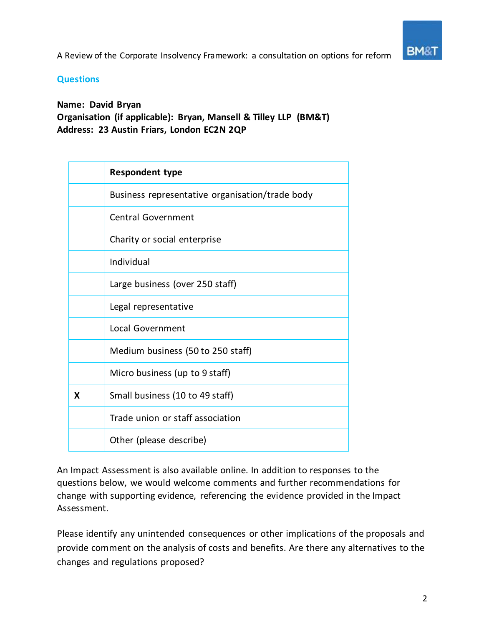

#### **Questions**

**Name: David Bryan Organisation (if applicable): Bryan, Mansell & Tilley LLP (BM&T) Address: 23 Austin Friars, London EC2N 2QP**

|   | <b>Respondent type</b>                          |
|---|-------------------------------------------------|
|   | Business representative organisation/trade body |
|   | <b>Central Government</b>                       |
|   | Charity or social enterprise                    |
|   | Individual                                      |
|   | Large business (over 250 staff)                 |
|   | Legal representative                            |
|   | Local Government                                |
|   | Medium business (50 to 250 staff)               |
|   | Micro business (up to 9 staff)                  |
| x | Small business (10 to 49 staff)                 |
|   | Trade union or staff association                |
|   | Other (please describe)                         |

An Impact Assessment is also available online. In addition to responses to the questions below, we would welcome comments and further recommendations for change with supporting evidence, referencing the evidence provided in the Impact Assessment.

Please identify any unintended consequences or other implications of the proposals and provide comment on the analysis of costs and benefits. Are there any alternatives to the changes and regulations proposed?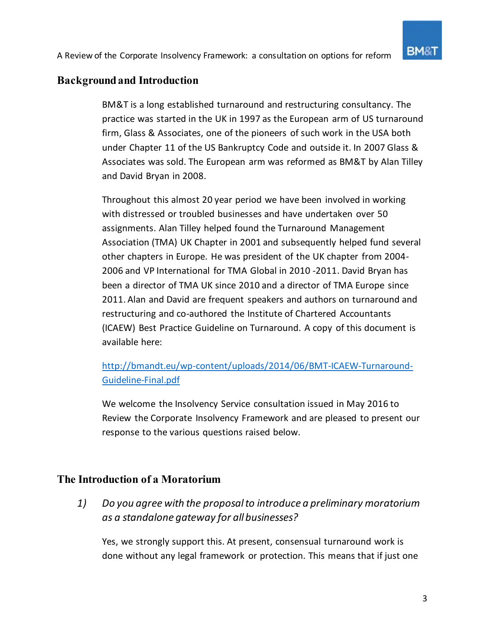### Background and Introduction

BM&T is a long established turnaround and restructuring consultancy. The practice was started in the UK in 1997 as the European arm of US turnaround firm, Glass & Associates, one of the pioneers of such work in the USA both under Chapter 11 of the US Bankruptcy Code and outside it. In 2007 Glass & Associates was sold. The European arm was reformed as BM&T by Alan Tilley and David Bryan in 2008.

Throughout this almost 20 year period we have been involved in working with distressed or troubled businesses and have undertaken over 50 assignments. Alan Tilley helped found the Turnaround Management Association (TMA) UK Chapter in 2001 and subsequently helped fund several other chapters in Europe. He was president of the UK chapter from 2004- 2006 and VP International for TMA Global in 2010 -2011. David Bryan has been a director of TMA UK since 2010 and a director of TMA Europe since 2011. Alan and David are frequent speakers and authors on turnaround and restructuring and co-authored the Institute of Chartered Accountants (ICAEW) Best Practice Guideline on Turnaround. A copy of this document is available here:

## [http://bmandt.eu/wp-content/uploads/2014/06/BMT-ICAEW-Turnaround-](http://bmandt.eu/wp-content/uploads/2014/06/BMT-ICAEW-Turnaround-Guideline-Final.pdf)[Guideline-Final.pdf](http://bmandt.eu/wp-content/uploads/2014/06/BMT-ICAEW-Turnaround-Guideline-Final.pdf)

We welcome the Insolvency Service consultation issued in May 2016 to Review the Corporate Insolvency Framework and are pleased to present our response to the various questions raised below.

## The Introduction of a Moratorium

*1) Do you agree with the proposal to introduce a preliminary moratorium as a standalone gateway for all businesses?*

Yes, we strongly support this. At present, consensual turnaround work is done without any legal framework or protection. This means that if just one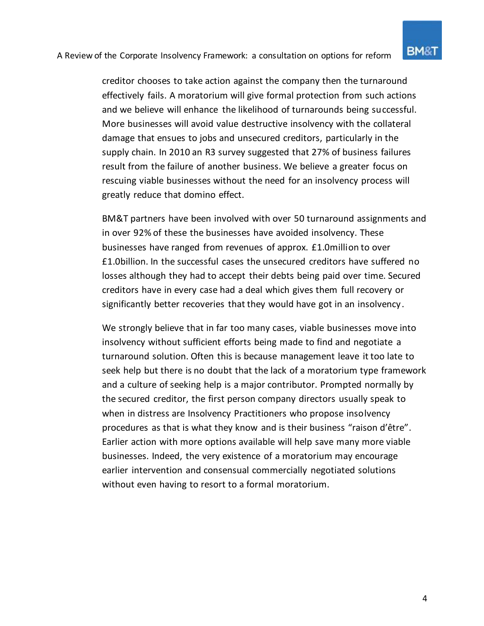creditor chooses to take action against the company then the turnaround effectively fails. A moratorium will give formal protection from such actions and we believe will enhance the likelihood of turnarounds being successful. More businesses will avoid value destructive insolvency with the collateral damage that ensues to jobs and unsecured creditors, particularly in the supply chain. In 2010 an R3 survey suggested that 27% of business failures result from the failure of another business. We believe a greater focus on rescuing viable businesses without the need for an insolvency process will greatly reduce that domino effect.

BM&T partners have been involved with over 50 turnaround assignments and in over 92% of these the businesses have avoided insolvency. These businesses have ranged from revenues of approx. £1.0million to over £1.0billion. In the successful cases the unsecured creditors have suffered no losses although they had to accept their debts being paid over time. Secured creditors have in every case had a deal which gives them full recovery or significantly better recoveries that they would have got in an insolvency.

We strongly believe that in far too many cases, viable businesses move into insolvency without sufficient efforts being made to find and negotiate a turnaround solution. Often this is because management leave it too late to seek help but there is no doubt that the lack of a moratorium type framework and a culture of seeking help is a major contributor. Prompted normally by the secured creditor, the first person company directors usually speak to when in distress are Insolvency Practitioners who propose insolvency procedures as that is what they know and is their business "raison d'être". Earlier action with more options available will help save many more viable businesses. Indeed, the very existence of a moratorium may encourage earlier intervention and consensual commercially negotiated solutions without even having to resort to a formal moratorium.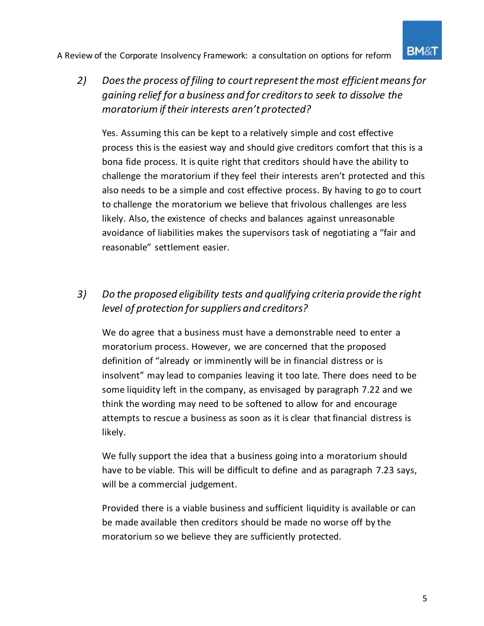

*2) Does the process of filing to court represent the most efficient means for gaining relief for a business and for creditors to seek to dissolve the moratorium if their interests aren't protected?* 

Yes. Assuming this can be kept to a relatively simple and cost effective process this is the easiest way and should give creditors comfort that this is a bona fide process. It is quite right that creditors should have the ability to challenge the moratorium if they feel their interests aren't protected and this also needs to be a simple and cost effective process. By having to go to court to challenge the moratorium we believe that frivolous challenges are less likely. Also, the existence of checks and balances against unreasonable avoidance of liabilities makes the supervisors task of negotiating a "fair and reasonable" settlement easier.

# *3) Do the proposed eligibility tests and qualifying criteria provide the right level of protection for suppliers and creditors?*

We do agree that a business must have a demonstrable need to enter a moratorium process. However, we are concerned that the proposed definition of "already or imminently will be in financial distress or is insolvent" may lead to companies leaving it too late. There does need to be some liquidity left in the company, as envisaged by paragraph 7.22 and we think the wording may need to be softened to allow for and encourage attempts to rescue a business as soon as it is clear that financial distress is likely.

We fully support the idea that a business going into a moratorium should have to be viable. This will be difficult to define and as paragraph 7.23 says, will be a commercial judgement.

Provided there is a viable business and sufficient liquidity is available or can be made available then creditors should be made no worse off by the moratorium so we believe they are sufficiently protected.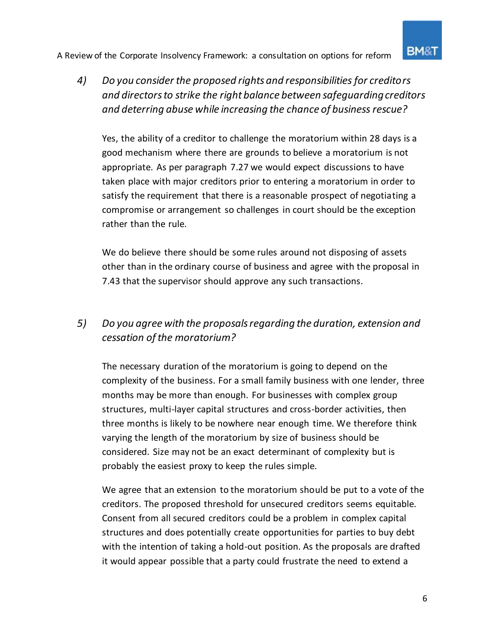

*4) Do you consider the proposed rights and responsibilities for creditors and directors to strike the right balance between safeguarding creditors and deterring abuse while increasing the chance of business rescue?* 

Yes, the ability of a creditor to challenge the moratorium within 28 days is a good mechanism where there are grounds to believe a moratorium is not appropriate. As per paragraph 7.27 we would expect discussions to have taken place with major creditors prior to entering a moratorium in order to satisfy the requirement that there is a reasonable prospect of negotiating a compromise or arrangement so challenges in court should be the exception rather than the rule.

We do believe there should be some rules around not disposing of assets other than in the ordinary course of business and agree with the proposal in 7.43 that the supervisor should approve any such transactions.

# *5) Do you agree with the proposals regarding the duration, extension and cessation of the moratorium?*

The necessary duration of the moratorium is going to depend on the complexity of the business. For a small family business with one lender, three months may be more than enough. For businesses with complex group structures, multi-layer capital structures and cross-border activities, then three months is likely to be nowhere near enough time. We therefore think varying the length of the moratorium by size of business should be considered. Size may not be an exact determinant of complexity but is probably the easiest proxy to keep the rules simple.

We agree that an extension to the moratorium should be put to a vote of the creditors. The proposed threshold for unsecured creditors seems equitable. Consent from all secured creditors could be a problem in complex capital structures and does potentially create opportunities for parties to buy debt with the intention of taking a hold-out position. As the proposals are drafted it would appear possible that a party could frustrate the need to extend a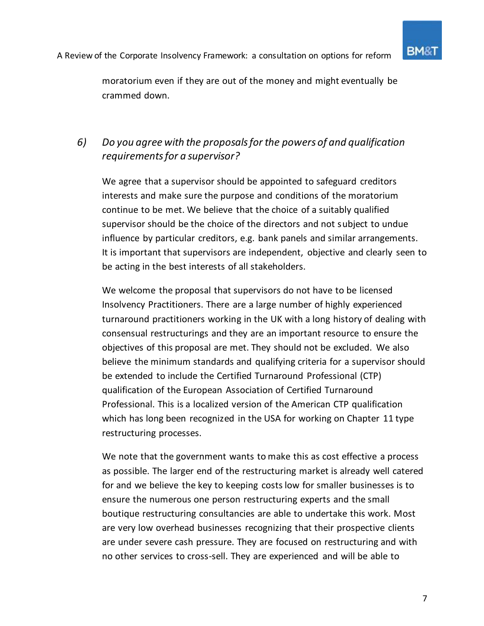moratorium even if they are out of the money and might eventually be crammed down.

# *6) Do you agree with the proposals for the powers of and qualification requirements for a supervisor?*

We agree that a supervisor should be appointed to safeguard creditors interests and make sure the purpose and conditions of the moratorium continue to be met. We believe that the choice of a suitably qualified supervisor should be the choice of the directors and not subject to undue influence by particular creditors, e.g. bank panels and similar arrangements. It is important that supervisors are independent, objective and clearly seen to be acting in the best interests of all stakeholders.

We welcome the proposal that supervisors do not have to be licensed Insolvency Practitioners. There are a large number of highly experienced turnaround practitioners working in the UK with a long history of dealing with consensual restructurings and they are an important resource to ensure the objectives of this proposal are met. They should not be excluded. We also believe the minimum standards and qualifying criteria for a supervisor should be extended to include the Certified Turnaround Professional (CTP) qualification of the European Association of Certified Turnaround Professional. This is a localized version of the American CTP qualification which has long been recognized in the USA for working on Chapter 11 type restructuring processes.

We note that the government wants to make this as cost effective a process as possible. The larger end of the restructuring market is already well catered for and we believe the key to keeping costs low for smaller businesses is to ensure the numerous one person restructuring experts and the small boutique restructuring consultancies are able to undertake this work. Most are very low overhead businesses recognizing that their prospective clients are under severe cash pressure. They are focused on restructuring and with no other services to cross-sell. They are experienced and will be able to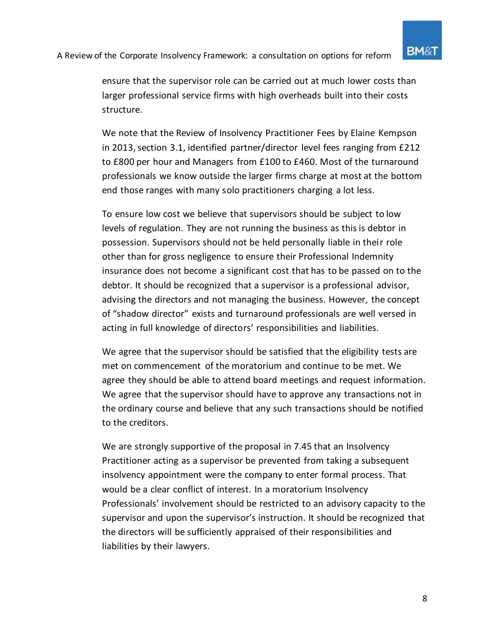ensure that the supervisor role can be carried out at much lower costs than larger professional service firms with high overheads built into their costs structure.

We note that the Review of Insolvency Practitioner Fees by Elaine Kempson in 2013, section 3.1, identified partner/director level fees ranging from £212 to £800 per hour and Managers from £100 to £460. Most of the turnaround professionals we know outside the larger firms charge at most at the bottom end those ranges with many solo practitioners charging a lot less.

To ensure low cost we believe that supervisors should be subject to low levels of regulation. They are not running the business as this is debtor in possession. Supervisors should not be held personally liable in their role other than for gross negligence to ensure their Professional Indemnity insurance does not become a significant cost that has to be passed on to the debtor. It should be recognized that a supervisor is a professional advisor, advising the directors and not managing the business. However, the concept of "shadow director" exists and turnaround professionals are well versed in acting in full knowledge of directors' responsibilities and liabilities.

We agree that the supervisor should be satisfied that the eligibility tests are met on commencement of the moratorium and continue to be met. We agree they should be able to attend board meetings and request information. We agree that the supervisor should have to approve any transactions not in the ordinary course and believe that any such transactions should be notified to the creditors.

We are strongly supportive of the proposal in 7.45 that an Insolvency Practitioner acting as a supervisor be prevented from taking a subsequent insolvency appointment were the company to enter formal process. That would be a clear conflict of interest. In a moratorium Insolvency Professionals' involvement should be restricted to an advisory capacity to the supervisor and upon the supervisor's instruction. It should be recognized that the directors will be sufficiently appraised of their responsibilities and liabilities by their lawyers.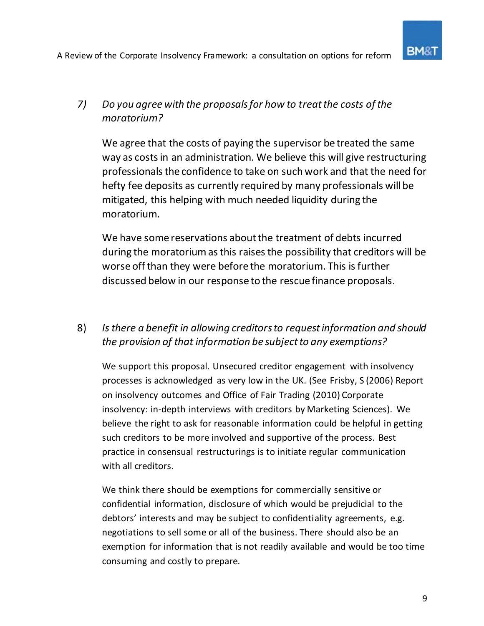

# *7) Do you agree with the proposals for how to treat the costs of the moratorium?*

We agree that the costs of paying the supervisor be treated the same way as costs in an administration. We believe this will give restructuring professionals the confidence to take on such work and that the need for hefty fee deposits as currently required by many professionals will be mitigated, this helping with much needed liquidity during the moratorium.

We have some reservations about the treatment of debts incurred during the moratorium as this raises the possibility that creditors will be worse off than they were before the moratorium. This is further discussed below in our response to the rescue finance proposals.

## 8) *Is there a benefit in allowing creditors to request information and should the provision of that information be subject to any exemptions?*

We support this proposal. Unsecured creditor engagement with insolvency processes is acknowledged as very low in the UK. (See Frisby, S (2006) Report on insolvency outcomes and Office of Fair Trading (2010) Corporate insolvency: in-depth interviews with creditors by Marketing Sciences). We believe the right to ask for reasonable information could be helpful in getting such creditors to be more involved and supportive of the process. Best practice in consensual restructurings is to initiate regular communication with all creditors.

We think there should be exemptions for commercially sensitive or confidential information, disclosure of which would be prejudicial to the debtors' interests and may be subject to confidentiality agreements, e.g. negotiations to sell some or all of the business. There should also be an exemption for information that is not readily available and would be too time consuming and costly to prepare.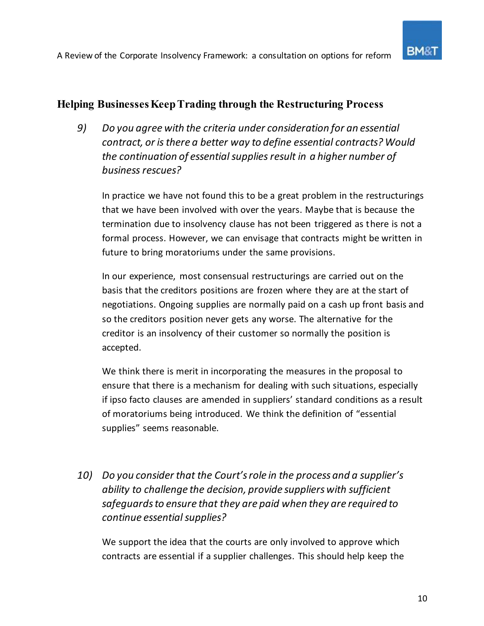

### Helping Businesses Keep Trading through the Restructuring Process

*9) Do you agree with the criteria under consideration for an essential contract, or is there a better way to define essential contracts? Would the continuation of essential supplies result in a higher number of business rescues?* 

In practice we have not found this to be a great problem in the restructurings that we have been involved with over the years. Maybe that is because the termination due to insolvency clause has not been triggered as there is not a formal process. However, we can envisage that contracts might be written in future to bring moratoriums under the same provisions.

In our experience, most consensual restructurings are carried out on the basis that the creditors positions are frozen where they are at the start of negotiations. Ongoing supplies are normally paid on a cash up front basis and so the creditors position never gets any worse. The alternative for the creditor is an insolvency of their customer so normally the position is accepted.

We think there is merit in incorporating the measures in the proposal to ensure that there is a mechanism for dealing with such situations, especially if ipso facto clauses are amended in suppliers' standard conditions as a result of moratoriums being introduced. We think the definition of "essential supplies" seems reasonable.

*10) Do you consider that the Court's role in the process and a supplier's ability to challenge the decision, provide suppliers with sufficient safeguards to ensure that they are paid when they are required to continue essential supplies?* 

We support the idea that the courts are only involved to approve which contracts are essential if a supplier challenges. This should help keep the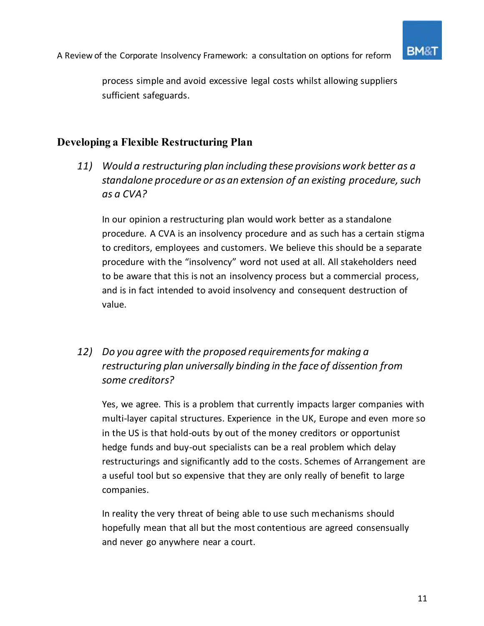

process simple and avoid excessive legal costs whilst allowing suppliers sufficient safeguards.

### Developing a Flexible Restructuring Plan

*11) Would a restructuring plan including these provisions work better as a standalone procedure or as an extension of an existing procedure, such as a CVA?* 

In our opinion a restructuring plan would work better as a standalone procedure. A CVA is an insolvency procedure and as such has a certain stigma to creditors, employees and customers. We believe this should be a separate procedure with the "insolvency" word not used at all. All stakeholders need to be aware that this is not an insolvency process but a commercial process, and is in fact intended to avoid insolvency and consequent destruction of value.

*12) Do you agree with the proposed requirements for making a restructuring plan universally binding in the face of dissention from some creditors?* 

Yes, we agree. This is a problem that currently impacts larger companies with multi-layer capital structures. Experience in the UK, Europe and even more so in the US is that hold-outs by out of the money creditors or opportunist hedge funds and buy-out specialists can be a real problem which delay restructurings and significantly add to the costs. Schemes of Arrangement are a useful tool but so expensive that they are only really of benefit to large companies.

In reality the very threat of being able to use such mechanisms should hopefully mean that all but the most contentious are agreed consensually and never go anywhere near a court.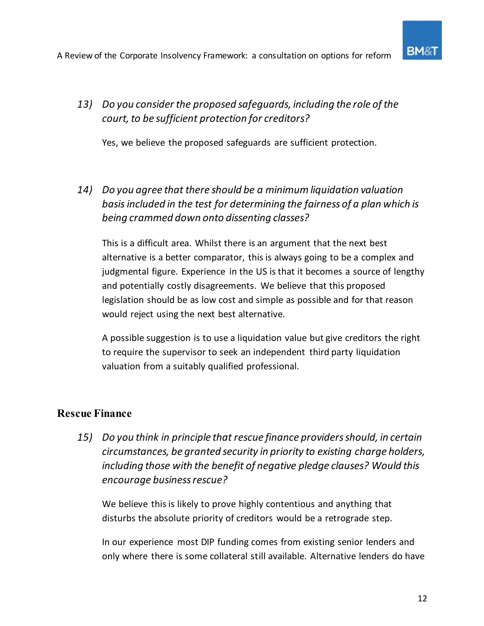

*13) Do you consider the proposed safeguards, including the role of the court, to be sufficient protection for creditors?* 

Yes, we believe the proposed safeguards are sufficient protection.

*14) Do you agree that there should be a minimum liquidation valuation basis included in the test for determining the fairness of a plan which is being crammed down onto dissenting classes?* 

This is a difficult area. Whilst there is an argument that the next best alternative is a better comparator, this is always going to be a complex and judgmental figure. Experience in the US is that it becomes a source of lengthy and potentially costly disagreements. We believe that this proposed legislation should be as low cost and simple as possible and for that reason would reject using the next best alternative.

A possible suggestion is to use a liquidation value but give creditors the right to require the supervisor to seek an independent third party liquidation valuation from a suitably qualified professional.

### Rescue Finance

*15) Do you think in principle that rescue finance providers should, in certain circumstances, be granted security in priority to existing charge holders, including those with the benefit of negative pledge clauses? Would this encourage business rescue?* 

We believe this is likely to prove highly contentious and anything that disturbs the absolute priority of creditors would be a retrograde step.

In our experience most DIP funding comes from existing senior lenders and only where there is some collateral still available. Alternative lenders do have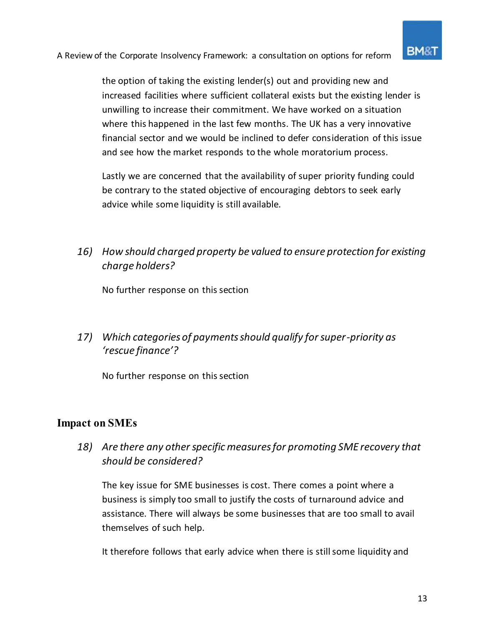the option of taking the existing lender(s) out and providing new and increased facilities where sufficient collateral exists but the existing lender is unwilling to increase their commitment. We have worked on a situation where this happened in the last few months. The UK has a very innovative financial sector and we would be inclined to defer consideration of this issue and see how the market responds to the whole moratorium process.

Lastly we are concerned that the availability of super priority funding could be contrary to the stated objective of encouraging debtors to seek early advice while some liquidity is still available.

*16) How should charged property be valued to ensure protection for existing charge holders?* 

No further response on this section

*17) Which categories of payments should qualify for super-priority as 'rescue finance'?* 

No further response on this section

## Impact on SMEs

*18) Are there any other specific measures for promoting SME recovery that should be considered?* 

The key issue for SME businesses is cost. There comes a point where a business is simply too small to justify the costs of turnaround advice and assistance. There will always be some businesses that are too small to avail themselves of such help.

It therefore follows that early advice when there is still some liquidity and